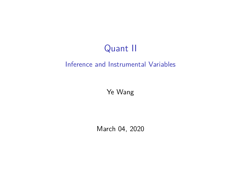# Quant II

#### Inference and Instrumental Variables

Ye Wang

March 04, 2020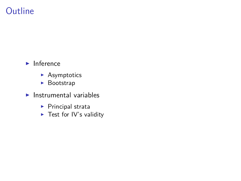## Outline

- $\blacktriangleright$  Inference
	- $\blacktriangleright$  Asymptotics
	- $\blacktriangleright$  Bootstrap
- $\blacktriangleright$  Instrumental variables
	- $\blacktriangleright$  Principal strata
	- $\blacktriangleright$  Test for IV's validity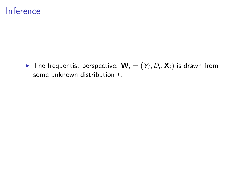$\blacktriangleright$  The frequentist perspective:  $\mathbf{W}_i = (Y_i, D_i, \mathbf{X}_i)$  is drawn from some unknown distribution f.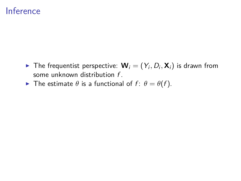- $\blacktriangleright$  The frequentist perspective:  $\mathbf{W}_i = (Y_i, D_i, \mathbf{X}_i)$  is drawn from some unknown distribution f.
- **F** The estimate  $\theta$  is a functional of  $f: \theta = \theta(f)$ .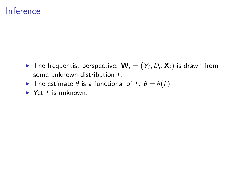- $\blacktriangleright$  The frequentist perspective:  $\mathbf{W}_i = (Y_i, D_i, \mathbf{X}_i)$  is drawn from some unknown distribution f.
- **F** The estimate  $\theta$  is a functional of  $f: \theta = \theta(f)$ .
- $\blacktriangleright$  Yet f is unknown.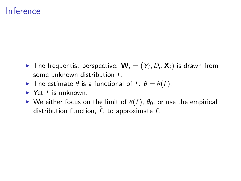- $\blacktriangleright$  The frequentist perspective:  $\mathbf{W}_i = (Y_i, D_i, \mathbf{X}_i)$  is drawn from some unknown distribution f .
- **F** The estimate  $\theta$  is a functional of  $f: \theta = \theta(f)$ .
- $\blacktriangleright$  Yet f is unknown.
- $\triangleright$  We either focus on the limit of  $\theta(f)$ ,  $\theta_0$ , or use the empirical distribution function,  $\hat{f}$ , to approximate f.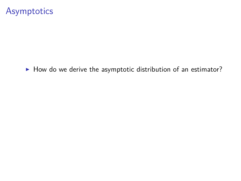$\blacktriangleright$  How do we derive the asymptotic distribution of an estimator?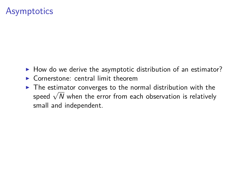- $\blacktriangleright$  How do we derive the asymptotic distribution of an estimator?
- $\triangleright$  Cornerstone: central limit theorem
- $\triangleright$  The estimator converges to the normal distribution with the The estimator converges to the normal distribution with the speed  $\sqrt{N}$  when the error from each observation is relatively small and independent.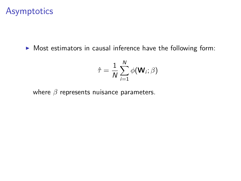$\triangleright$  Most estimators in causal inference have the following form:

$$
\hat{\tau} = \frac{1}{N} \sum_{i=1}^{N} \phi(\mathbf{W}_i; \beta)
$$

where *β* represents nuisance parameters.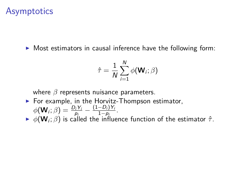$\triangleright$  Most estimators in causal inference have the following form:

$$
\hat{\tau} = \frac{1}{N} \sum_{i=1}^{N} \phi(\mathbf{W}_i; \beta)
$$

where *β* represents nuisance parameters.

 $\blacktriangleright$  For example, in the Horvitz-Thompson estimator,  $\phi(\mathbf{W}_i; \beta) = \frac{D_i Y_i}{p_i} - \frac{(1 - D_i) Y_i}{1 - p_i}$  $\frac{-D_i}{1-p_i}$ . <sup>I</sup> *φ*(**W**<sup>i</sup> ; *β*) is called the influence function of the estimator *τ*ˆ.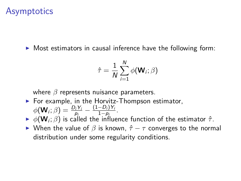$\triangleright$  Most estimators in causal inference have the following form:

$$
\hat{\tau} = \frac{1}{N} \sum_{i=1}^{N} \phi(\mathbf{W}_i; \beta)
$$

where *β* represents nuisance parameters.

- $\blacktriangleright$  For example, in the Horvitz-Thompson estimator,  $\phi(\mathbf{W}_i; \beta) = \frac{D_i Y_i}{p_i} - \frac{(1 - D_i) Y_i}{1 - p_i}$  $\frac{-D_i}{1-p_i}$ .
- <sup>I</sup> *φ*(**W**<sup>i</sup> ; *β*) is called the influence function of the estimator *τ*ˆ.
- **► When the value of** *β* **is known,**  $\hat{\tau} \tau$  **converges to the normal** distribution under some regularity conditions.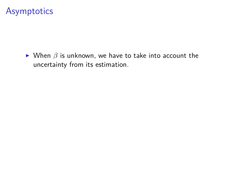$\triangleright$  When  $\beta$  is unknown, we have to take into account the uncertainty from its estimation.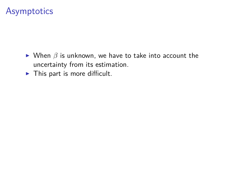- $\triangleright$  When  $\beta$  is unknown, we have to take into account the uncertainty from its estimation.
- $\blacktriangleright$  This part is more difficult.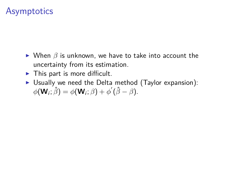- $\triangleright$  When  $\beta$  is unknown, we have to take into account the uncertainty from its estimation.
- $\blacktriangleright$  This part is more difficult.
- $\triangleright$  Usually we need the Delta method (Taylor expansion):  $\phi(\mathbf{W}_i; \hat{\beta}) = \phi(\mathbf{W}_i; \beta) + \phi'(\hat{\beta} - \beta).$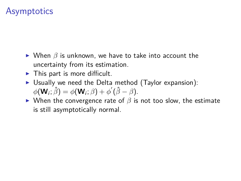- $\triangleright$  When  $\beta$  is unknown, we have to take into account the uncertainty from its estimation.
- $\blacktriangleright$  This part is more difficult.
- $\triangleright$  Usually we need the Delta method (Taylor expansion):  $\phi(\mathbf{W}_i; \hat{\beta}) = \phi(\mathbf{W}_i; \beta) + \phi'(\hat{\beta} - \beta).$
- $▶$  When the convergence rate of  $\beta$  is not too slow, the estimate is still asymptotically normal.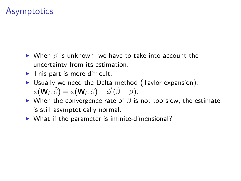- $\triangleright$  When  $\beta$  is unknown, we have to take into account the uncertainty from its estimation.
- $\blacktriangleright$  This part is more difficult.
- $\triangleright$  Usually we need the Delta method (Taylor expansion):  $\phi(\mathbf{W}_i; \hat{\beta}) = \phi(\mathbf{W}_i; \beta) + \phi'(\hat{\beta} - \beta).$
- $\triangleright$  When the convergence rate of  $\beta$  is not too slow, the estimate is still asymptotically normal.
- $\triangleright$  What if the parameter is infinite-dimensional?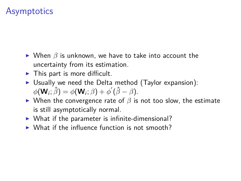- $\triangleright$  When  $\beta$  is unknown, we have to take into account the uncertainty from its estimation.
- $\blacktriangleright$  This part is more difficult.
- $\triangleright$  Usually we need the Delta method (Taylor expansion):  $\phi(\mathbf{W}_i; \hat{\beta}) = \phi(\mathbf{W}_i; \beta) + \phi'(\hat{\beta} - \beta).$
- $\triangleright$  When the convergence rate of  $\beta$  is not too slow, the estimate is still asymptotically normal.
- $\triangleright$  What if the parameter is infinite-dimensional?
- $\triangleright$  What if the influence function is not smooth?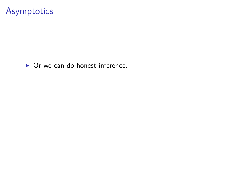$\triangleright$  Or we can do honest inference.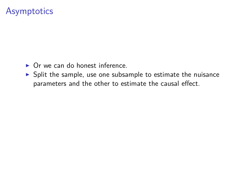- $\triangleright$  Or we can do honest inference.
- $\triangleright$  Split the sample, use one subsample to estimate the nuisance parameters and the other to estimate the causal effect.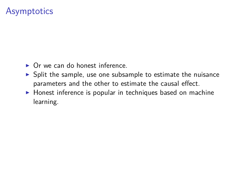- $\triangleright$  Or we can do honest inference.
- $\triangleright$  Split the sample, use one subsample to estimate the nuisance parameters and the other to estimate the causal effect.
- $\triangleright$  Honest inference is popular in techniques based on machine learning.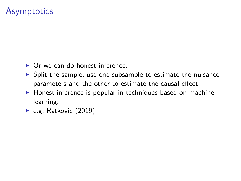- $\triangleright$  Or we can do honest inference.
- $\triangleright$  Split the sample, use one subsample to estimate the nuisance parameters and the other to estimate the causal effect.
- $\triangleright$  Honest inference is popular in techniques based on machine learning.
- $\blacktriangleright$  e.g. Ratkovic (2019)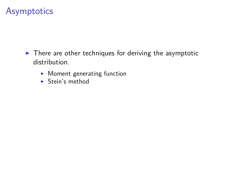- $\blacktriangleright$  There are other techniques for deriving the asymptotic distribution.
	- $\blacktriangleright$  Moment generating function
	- $\blacktriangleright$  Stein's method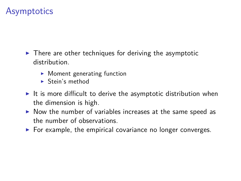- $\blacktriangleright$  There are other techniques for deriving the asymptotic distribution.
	- $\blacktriangleright$  Moment generating function
	- $\blacktriangleright$  Stein's method
- It is more difficult to derive the asymptotic distribution when the dimension is high.
- $\triangleright$  Now the number of variables increases at the same speed as the number of observations.
- $\triangleright$  For example, the empirical covariance no longer converges.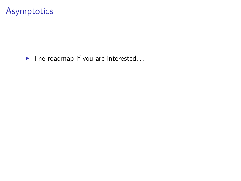$\blacktriangleright$  The roadmap if you are interested...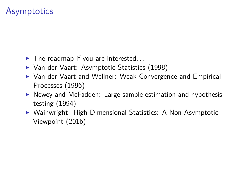- $\blacktriangleright$  The roadmap if you are interested...
- ▶ Van der Vaart: Asymptotic Statistics (1998)
- ▶ Van der Vaart and Wellner: Weak Convergence and Empirical Processes (1996)
- $\triangleright$  Newey and McFadden: Large sample estimation and hypothesis testing (1994)
- ▶ Wainwright: High-Dimensional Statistics: A Non-Asymptotic Viewpoint (2016)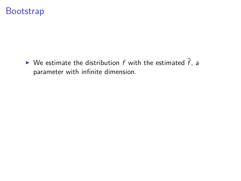#### **Bootstrap**

 $\blacktriangleright$  We estimate the distribution f with the estimated  $\hat{f}$ , a parameter with infinite dimension.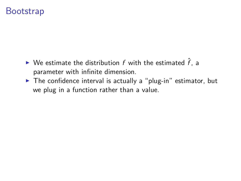#### **Bootstrap**

- $\blacktriangleright$  We estimate the distribution f with the estimated  $\hat{f}$ . a parameter with infinite dimension.
- $\triangleright$  The confidence interval is actually a "plug-in" estimator, but we plug in a function rather than a value.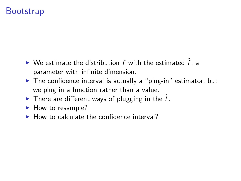#### **Bootstrap**

- $\blacktriangleright$  We estimate the distribution f with the estimated  $\hat{f}$ . a parameter with infinite dimension.
- $\triangleright$  The confidence interval is actually a "plug-in" estimator, but we plug in a function rather than a value.
- In There are different ways of plugging in the  $\hat{f}$ .
- $\blacktriangleright$  How to resample?
- $\blacktriangleright$  How to calculate the confidence interval?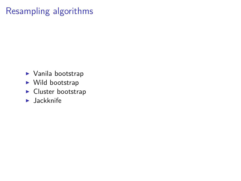# Resampling algorithms

- $\blacktriangleright$  Vanila bootstrap
- $\blacktriangleright$  Wild bootstrap
- $\blacktriangleright$  Cluster bootstrap
- $\blacktriangleright$  Jackknife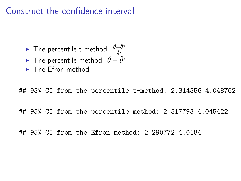#### Construct the confidence interval

- <sup>I</sup> The percentile t-method: *<sup>θ</sup>*ˆ−*θ*ˆ<sup>∗</sup> *δ*ˆ∗
- **►** The percentile method:  $\hat{\theta} \hat{\theta}^*$
- $\blacktriangleright$  The Efron method

## 95% CI from the percentile t-method: 2.314556 4.048762

## 95% CI from the percentile method: 2.317793 4.045422

## 95% CI from the Efron method: 2.290772 4.0184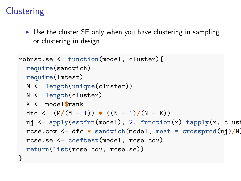# **Clustering**

 $\triangleright$  Use the cluster SE only when you have clustering in sampling or clustering in design

```
robust.se <- function(model, cluster){
  require(sandwich)
  require(lmtest)
  M <- length(unique(cluster))
  N <- length(cluster)
  K <- model$rank
  dfc <- (M/(M - 1)) * ((N - 1)/(N - K))uj <- apply(estfun(model), 2, function(x) tapply(x, clust
  rcse.cov <- dfc * sandwich(model, meat = crossprod(uj)/N)
  rcse.se <- coeftest(model, rcse.cov)
  return(list(rcse.cov, rcse.se))
}
```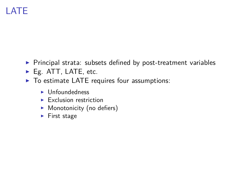# LATE

- $\triangleright$  Principal strata: subsets defined by post-treatment variables
- ► Eg. ATT, LATE, etc.
- $\triangleright$  To estimate LATE requires four assumptions:
	- $\blacktriangleright$  Unfoundedness
	- $\blacktriangleright$  Exclusion restriction
	- $\blacktriangleright$  Monotonicity (no defiers)
	- $\blacktriangleright$  First stage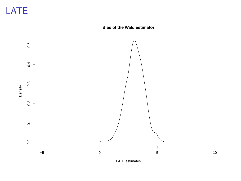# LATE

#### **Bias of the Wald estimator**



LATE estimates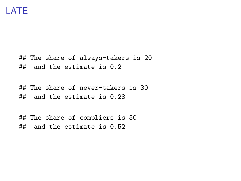## The share of always-takers is 20 ## and the estimate is 0.2

## The share of never-takers is 30 ## and the estimate is 0.28

## The share of compliers is 50 ## and the estimate is 0.52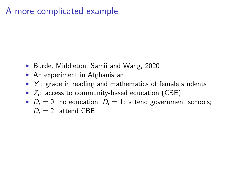#### A more complicated example

- ▶ Burde, Middleton, Samii and Wang, 2020
- $\blacktriangleright$  An experiment in Afghanistan
- $\blacktriangleright$  Y<sub>i</sub>: grade in reading and mathematics of female students
- $\blacktriangleright$   $Z_i$ : access to community-based education (CBE)
- $D_i = 0$ : no education;  $D_i = 1$ : attend government schools;  $D_i = 2$ : attend CBE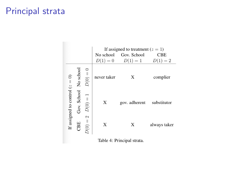#### Principal strata

**Barbara** 

|                                  |             |               | No school<br>$D(1) = 0$ | If assigned to treatment $(z = 1)$<br>Gov. School<br>$D(1) = 1$ | <b>CBE</b><br>$D(1)=2$ |
|----------------------------------|-------------|---------------|-------------------------|-----------------------------------------------------------------|------------------------|
| If assigned to control $(z = 0)$ | No school   | $D(0) =$      | never taker             | X                                                               | complier               |
|                                  | Gov. School | $D(0) =$      | Х                       | gov. adherent                                                   | substitutor            |
|                                  | BE          | 2<br>$D(0) =$ | X                       | X                                                               | always taker           |

Table 4: Principal strata.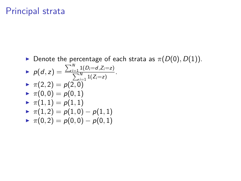#### Principal strata

**Denote the percentage of each strata as**  $\pi(D(0), D(1))$ **.**  $p(d, z) = \frac{\sum_{i=1}^{N} 1(D_i = d, Z_i = z)}{\sum_{i=1}^{N} 1(\sum_{i=1}^{N} z_i)}$  $\frac{\sum_{i=1}^{N} 1(Z_i=z)}{\sum_{i=1}^{N} 1(Z_i=z)}$ .  $\blacktriangleright \pi(2,2) = p(2,0)$  $\blacktriangleright \pi(0,0) = p(0,1)$  $\blacktriangleright \pi(1,1) = p(1,1)$  $\blacktriangleright$   $\pi(1,2) = p(1,0) - p(1,1)$  $\blacktriangleright$   $\pi(0,2) = p(0,0) - p(0,1)$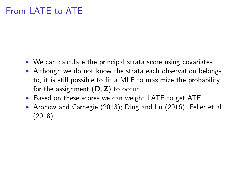# From LATE to ATE

- $\triangleright$  We can calculate the principal strata score using covariates.
- $\blacktriangleright$  Although we do not know the strata each observation belongs to, it is still possible to fit a MLE to maximize the probability for the assignment (**D***,***Z**) to occur.
- $\triangleright$  Based on these scores we can weight LATE to get ATE.
- Aronow and Carnegie (2013); Ding and Lu (2016); Feller et al. (2018)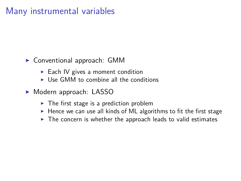## Many instrumental variables

- $\triangleright$  Conventional approach: GMM
	- $\blacktriangleright$  Each IV gives a moment condition
	- $\triangleright$  Use GMM to combine all the conditions
- ► Modern approach: LASSO
	- $\blacktriangleright$  The first stage is a prediction problem
	- $\blacktriangleright$  Hence we can use all kinds of ML algorithms to fit the first stage
	- $\blacktriangleright$  The concern is whether the approach leads to valid estimates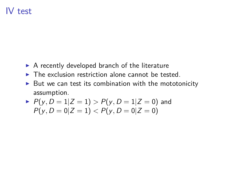#### IV test

- $\triangleright$  A recently developed branch of the literature
- $\blacktriangleright$  The exclusion restriction alone cannot be tested.
- $\triangleright$  But we can test its combination with the mototonicity assumption.

▶ 
$$
P(y, D = 1 | Z = 1)
$$
 >  $P(y, D = 1 | Z = 0)$  and  
\n $P(y, D = 0 | Z = 1)$  <  $P(y, D = 0 | Z = 0)$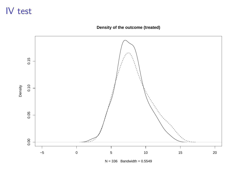# IV test

**Density of the outcome (treated)**



 $N = 336$  Bandwidth = 0.5549